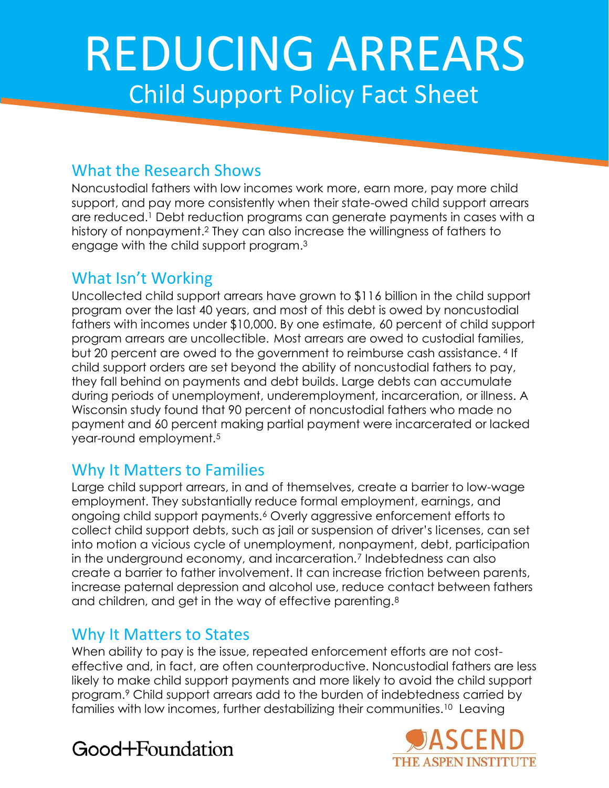# REDUCING ARREARS Child Support Policy Fact Sheet

# What the Research Shows

Noncustodial fathers with low incomes work more, earn more, pay more child support, and pay more consistently when their state-owed child support arrears are reduced.<sup>1</sup> Debt reduction programs can generate payments in cases with a history of nonpayment.<sup>2</sup> They can also increase the willingness of fathers to engage with the child support program.<sup>3</sup>

## What Isn't Working

Uncollected child support arrears have grown to \$116 billion in the child support program over the last 40 years, and most of this debt is owed by noncustodial fathers with incomes under \$10,000. By one estimate, 60 percent of child support program arrears are uncollectible. Most arrears are owed to custodial families, but 20 percent are owed to the government to reimburse cash assistance. <sup>4</sup> If child support orders are set beyond the ability of noncustodial fathers to pay, they fall behind on payments and debt builds. Large debts can accumulate during periods of unemployment, underemployment, incarceration, or illness. A Wisconsin study found that 90 percent of noncustodial fathers who made no payment and 60 percent making partial payment were incarcerated or lacked year-round employment.<sup>5</sup>

# Why It Matters to Families

Large child support arrears, in and of themselves, create a barrier to low-wage employment. They substantially reduce formal employment, earnings, and ongoing child support payments.<sup>6</sup> Overly aggressive enforcement efforts to collect child support debts, such as jail or suspension of driver's licenses, can set into motion a vicious cycle of unemployment, nonpayment, debt, participation in the underground economy, and incarceration.<sup>7</sup> Indebtedness can also create a barrier to father involvement. It can increase friction between parents, increase paternal depression and alcohol use, reduce contact between fathers and children, and get in the way of effective parenting.<sup>8</sup>

# Why It Matters to States

When ability to pay is the issue, repeated enforcement efforts are not costeffective and, in fact, are often counterproductive. Noncustodial fathers are less likely to make child support payments and more likely to avoid the child support program.<sup>9</sup> Child support arrears add to the burden of indebtedness carried by families with low incomes, further destabilizing their communities. <sup>10</sup> Leaving



# Good+Foundation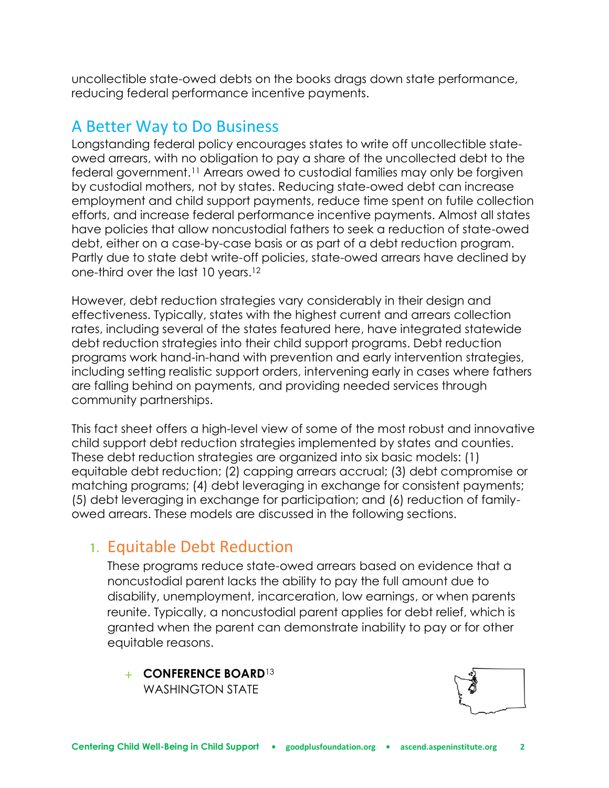uncollectible state-owed debts on the books drags down state performance, reducing federal performance incentive payments.

# A Better Way to Do Business

Longstanding federal policy encourages states to write off uncollectible stateowed arrears, with no obligation to pay a share of the uncollected debt to the federal government.<sup>11</sup> Arrears owed to custodial families may only be forgiven by custodial mothers, not by states. Reducing state-owed debt can increase employment and child support payments, reduce time spent on futile collection efforts, and increase federal performance incentive payments. Almost all states have policies that allow noncustodial fathers to seek a reduction of state-owed debt, either on a case-by-case basis or as part of a debt reduction program. Partly due to state debt write-off policies, state-owed arrears have declined by one-third over the last 10 years.<sup>12</sup>

However, debt reduction strategies vary considerably in their design and effectiveness. Typically, states with the highest current and arrears collection rates, including several of the states featured here, have integrated statewide debt reduction strategies into their child support programs. Debt reduction programs work hand-in-hand with prevention and early intervention strategies, including setting realistic support orders, intervening early in cases where fathers are falling behind on payments, and providing needed services through community partnerships.

This fact sheet offers a high-level view of some of the most robust and innovative child support debt reduction strategies implemented by states and counties. These debt reduction strategies are organized into six basic models: (1) equitable debt reduction; (2) capping arrears accrual; (3) debt compromise or matching programs; (4) debt leveraging in exchange for consistent payments; (5) debt leveraging in exchange for participation; and (6) reduction of familyowed arrears. These models are discussed in the following sections.

# **1.** Equitable Debt Reduction

These programs reduce state-owed arrears based on evidence that a noncustodial parent lacks the ability to pay the full amount due to disability, unemployment, incarceration, low earnings, or when parents reunite. Typically, a noncustodial parent applies for debt relief, which is granted when the parent can demonstrate inability to pay or for other equitable reasons.

+ **CONFERENCE BOARD**<sup>13</sup> WASHINGTON STATE

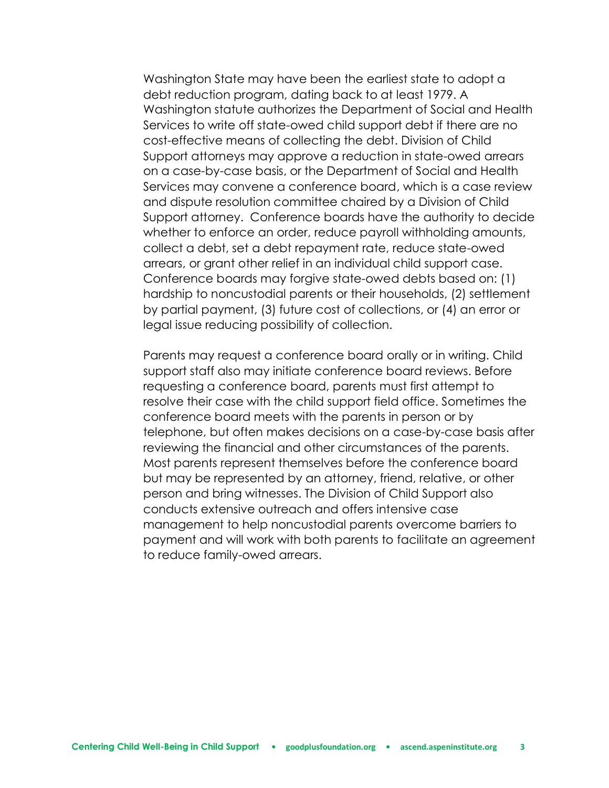Washington State may have been the earliest state to adopt a debt reduction program, dating back to at least 1979. A Washington statute authorizes the Department of Social and Health Services to write off state-owed child support debt if there are no cost-effective means of collecting the debt. Division of Child Support attorneys may approve a reduction in state-owed arrears on a case-by-case basis, or the Department of Social and Health Services may convene a conference board, which is a case review and dispute resolution committee chaired by a Division of Child Support attorney. Conference boards have the authority to decide whether to enforce an order, reduce payroll withholding amounts, collect a debt, set a debt repayment rate, reduce state-owed arrears, or grant other relief in an individual child support case. Conference boards may forgive state-owed debts based on: (1) hardship to noncustodial parents or their households, (2) settlement by partial payment, (3) future cost of collections, or (4) an error or legal issue reducing possibility of collection.

Parents may request a conference board orally or in writing. Child support staff also may initiate conference board reviews. Before requesting a conference board, parents must first attempt to resolve their case with the child support field office. Sometimes the conference board meets with the parents in person or by telephone, but often makes decisions on a case-by-case basis after reviewing the financial and other circumstances of the parents. Most parents represent themselves before the conference board but may be represented by an attorney, friend, relative, or other person and bring witnesses. The Division of Child Support also conducts extensive outreach and offers intensive case management to help noncustodial parents overcome barriers to payment and will work with both parents to facilitate an agreement to reduce family-owed arrears.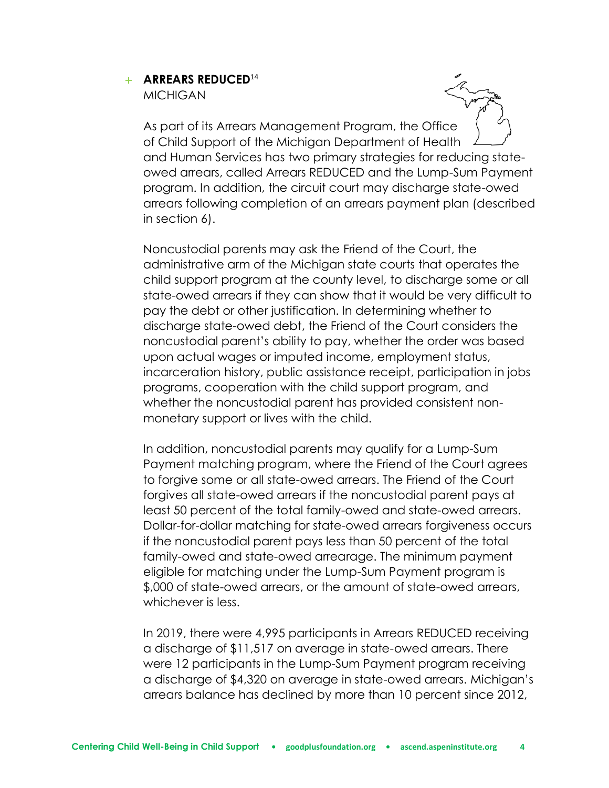#### + **ARREARS REDUCED**<sup>14</sup>

MICHIGAN

As part of its Arrears Management Program, the Office of Child Support of the Michigan Department of Health and Human Services has two primary strategies for reducing stateowed arrears, called Arrears REDUCED and the Lump-Sum Payment program. In addition, the circuit court may discharge state-owed arrears following completion of an arrears payment plan (described in section 6).

Noncustodial parents may ask the Friend of the Court, the administrative arm of the Michigan state courts that operates the child support program at the county level, to discharge some or all state-owed arrears if they can show that it would be very difficult to pay the debt or other justification. In determining whether to discharge state-owed debt, the Friend of the Court considers the noncustodial parent's ability to pay, whether the order was based upon actual wages or imputed income, employment status, incarceration history, public assistance receipt, participation in jobs programs, cooperation with the child support program, and whether the noncustodial parent has provided consistent nonmonetary support or lives with the child.

In addition, noncustodial parents may qualify for a Lump-Sum Payment matching program, where the Friend of the Court agrees to forgive some or all state-owed arrears. The Friend of the Court forgives all state-owed arrears if the noncustodial parent pays at least 50 percent of the total family-owed and state-owed arrears. Dollar-for-dollar matching for state-owed arrears forgiveness occurs if the noncustodial parent pays less than 50 percent of the total family-owed and state-owed arrearage. The minimum payment eligible for matching under the Lump-Sum Payment program is \$,000 of state-owed arrears, or the amount of state-owed arrears, whichever is less.

In 2019, there were 4,995 participants in Arrears REDUCED receiving a discharge of \$11,517 on average in state-owed arrears. There were 12 participants in the Lump-Sum Payment program receiving a discharge of \$4,320 on average in state-owed arrears. Michigan's arrears balance has declined by more than 10 percent since 2012,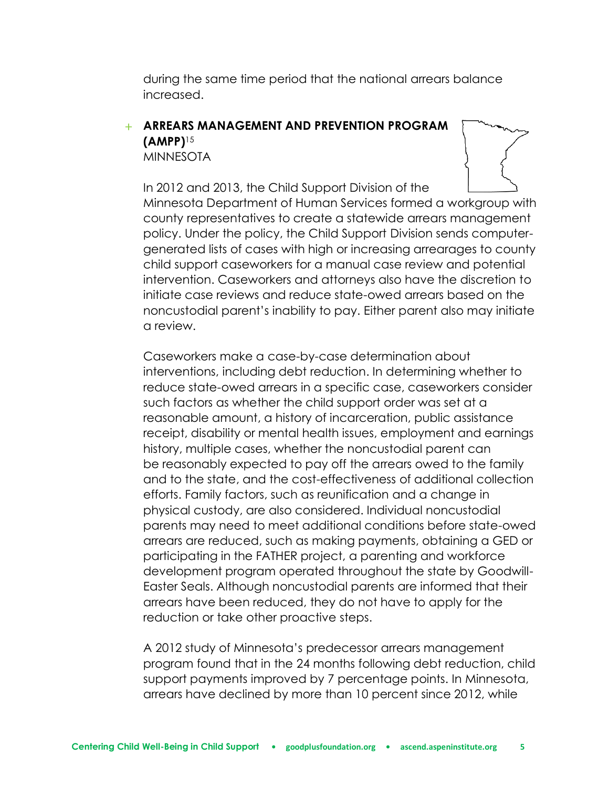during the same time period that the national arrears balance increased.

## + **ARREARS MANAGEMENT AND PREVENTION PROGRAM (AMPP)**<sup>15</sup>

**MINNESOTA** 



In 2012 and 2013, the Child Support Division of the Minnesota Department of Human Services formed a workgroup with county representatives to create a statewide arrears management policy. Under the policy, the Child Support Division sends computergenerated lists of cases with high or increasing arrearages to county child support caseworkers for a manual case review and potential intervention. Caseworkers and attorneys also have the discretion to initiate case reviews and reduce state-owed arrears based on the noncustodial parent's inability to pay. Either parent also may initiate a review.

Caseworkers make a case-by-case determination about interventions, including debt reduction. In determining whether to reduce state-owed arrears in a specific case, caseworkers consider such factors as whether the child support order was set at a reasonable amount, a history of incarceration, public assistance receipt, disability or mental health issues, employment and earnings history, multiple cases, whether the noncustodial parent can be reasonably expected to pay off the arrears owed to the family and to the state, and the cost-effectiveness of additional collection efforts. Family factors, such as reunification and a change in physical custody, are also considered. Individual noncustodial parents may need to meet additional conditions before state-owed arrears are reduced, such as making payments, obtaining a GED or participating in the FATHER project, a parenting and workforce development program operated throughout the state by Goodwill-Easter Seals. Although noncustodial parents are informed that their arrears have been reduced, they do not have to apply for the reduction or take other proactive steps.

A 2012 study of Minnesota's predecessor arrears management program found that in the 24 months following debt reduction, child support payments improved by 7 percentage points. In Minnesota, arrears have declined by more than 10 percent since 2012, while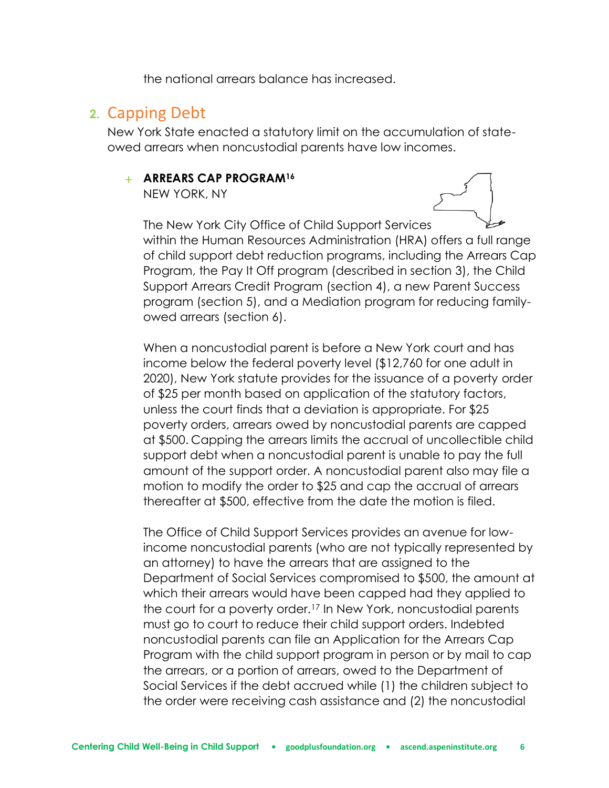the national arrears balance has increased.

## **2.** Capping Debt

New York State enacted a statutory limit on the accumulation of stateowed arrears when noncustodial parents have low incomes.

#### + **ARREARS CAP PROGRAM<sup>16</sup>**

NEW YORK, NY



The New York City Office of Child Support Services within the Human Resources Administration (HRA) offers a full range of child support debt reduction programs, including the Arrears Cap Program, the Pay It Off program (described in section 3), the Child Support Arrears Credit Program (section 4), a new Parent Success program (section 5), and a Mediation program for reducing familyowed arrears (section 6).

When a noncustodial parent is before a New York court and has income below the federal poverty level (\$12,760 for one adult in 2020), New York statute provides for the issuance of a poverty order of \$25 per month based on application of the statutory factors, unless the court finds that a deviation is appropriate. For \$25 poverty orders, arrears owed by noncustodial parents are capped at \$500. Capping the arrears limits the accrual of uncollectible child support debt when a noncustodial parent is unable to pay the full amount of the support order. A noncustodial parent also may file a motion to modify the order to \$25 and cap the accrual of arrears thereafter at \$500, effective from the date the motion is filed.

The Office of Child Support Services provides an avenue for lowincome noncustodial parents (who are not typically represented by an attorney) to have the arrears that are assigned to the Department of Social Services compromised to \$500, the amount at which their arrears would have been capped had they applied to the court for a poverty order.<sup>17</sup> In New York, noncustodial parents must go to court to reduce their child support orders. Indebted noncustodial parents can file an Application for the Arrears Cap Program with the child support program in person or by mail to cap the arrears, or a portion of arrears, owed to the Department of Social Services if the debt accrued while (1) the children subject to the order were receiving cash assistance and (2) the noncustodial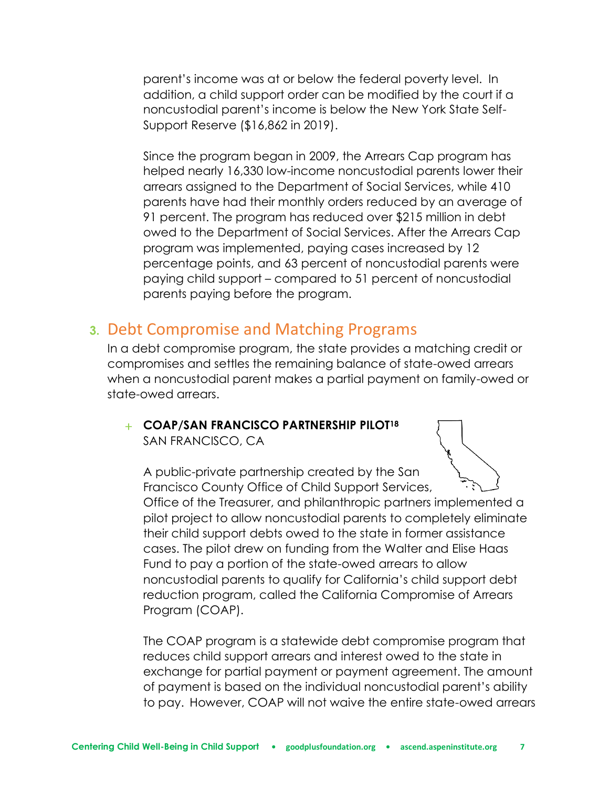parent's income was at or below the federal poverty level. In addition, a child support order can be modified by the court if a noncustodial parent's income is below the New York State Self-Support Reserve (\$16,862 in 2019).

Since the program began in 2009, the Arrears Cap program has helped nearly 16,330 low-income noncustodial parents lower their arrears assigned to the Department of Social Services, while 410 parents have had their monthly orders reduced by an average of 91 percent. The program has reduced over \$215 million in debt owed to the Department of Social Services. After the Arrears Cap program was implemented, paying cases increased by 12 percentage points, and 63 percent of noncustodial parents were paying child support – compared to 51 percent of noncustodial parents paying before the program.

## **3.** Debt Compromise and Matching Programs

In a debt compromise program, the state provides a matching credit or compromises and settles the remaining balance of state-owed arrears when a noncustodial parent makes a partial payment on family-owed or state-owed arrears.

### + **COAP/SAN FRANCISCO PARTNERSHIP PILOT<sup>18</sup>** SAN FRANCISCO, CA

A public-private partnership created by the San Francisco County Office of Child Support Services, Office of the Treasurer, and philanthropic partners implemented a pilot project to allow noncustodial parents to completely eliminate their child support debts owed to the state in former assistance cases. The pilot drew on funding from the Walter and Elise Haas Fund to pay a portion of the state-owed arrears to allow noncustodial parents to qualify for California's child support debt reduction program, called the California Compromise of Arrears Program (COAP).

The COAP program is a statewide debt compromise program that reduces child support arrears and interest owed to the state in exchange for partial payment or payment agreement. The amount of payment is based on the individual noncustodial parent's ability to pay. However, COAP will not waive the entire state-owed arrears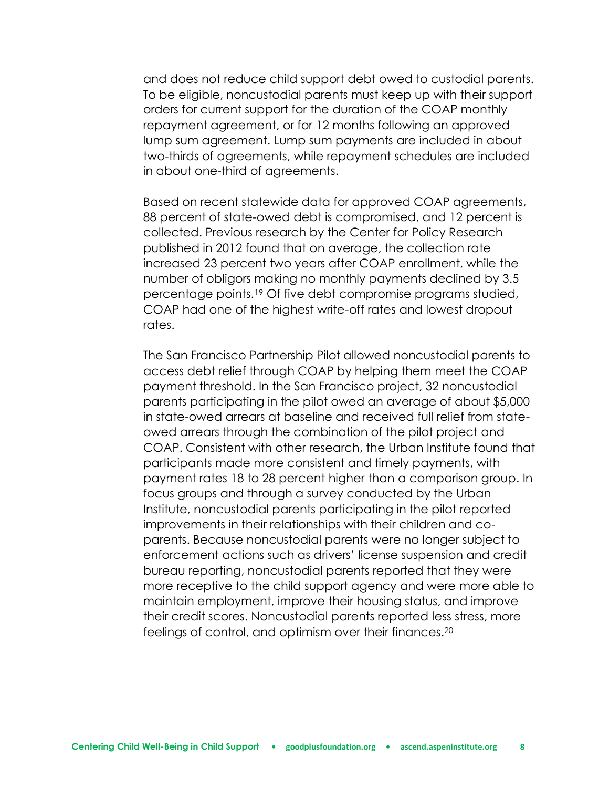and does not reduce child support debt owed to custodial parents. To be eligible, noncustodial parents must keep up with their support orders for current support for the duration of the COAP monthly repayment agreement, or for 12 months following an approved lump sum agreement. Lump sum payments are included in about two-thirds of agreements, while repayment schedules are included in about one-third of agreements.

Based on recent statewide data for approved COAP agreements, 88 percent of state-owed debt is compromised, and 12 percent is collected. Previous research by the Center for Policy Research published in 2012 found that on average, the collection rate increased 23 percent two years after COAP enrollment, while the number of obligors making no monthly payments declined by 3.5 percentage points.<sup>19</sup> Of five debt compromise programs studied, COAP had one of the highest write-off rates and lowest dropout rates.

The San Francisco Partnership Pilot allowed noncustodial parents to access debt relief through COAP by helping them meet the COAP payment threshold. In the San Francisco project, 32 noncustodial parents participating in the pilot owed an average of about \$5,000 in state-owed arrears at baseline and received full relief from stateowed arrears through the combination of the pilot project and COAP. Consistent with other research, the Urban Institute found that participants made more consistent and timely payments, with payment rates 18 to 28 percent higher than a comparison group. In focus groups and through a survey conducted by the Urban Institute, noncustodial parents participating in the pilot reported improvements in their relationships with their children and coparents. Because noncustodial parents were no longer subject to enforcement actions such as drivers' license suspension and credit bureau reporting, noncustodial parents reported that they were more receptive to the child support agency and were more able to maintain employment, improve their housing status, and improve their credit scores. Noncustodial parents reported less stress, more feelings of control, and optimism over their finances.<sup>20</sup>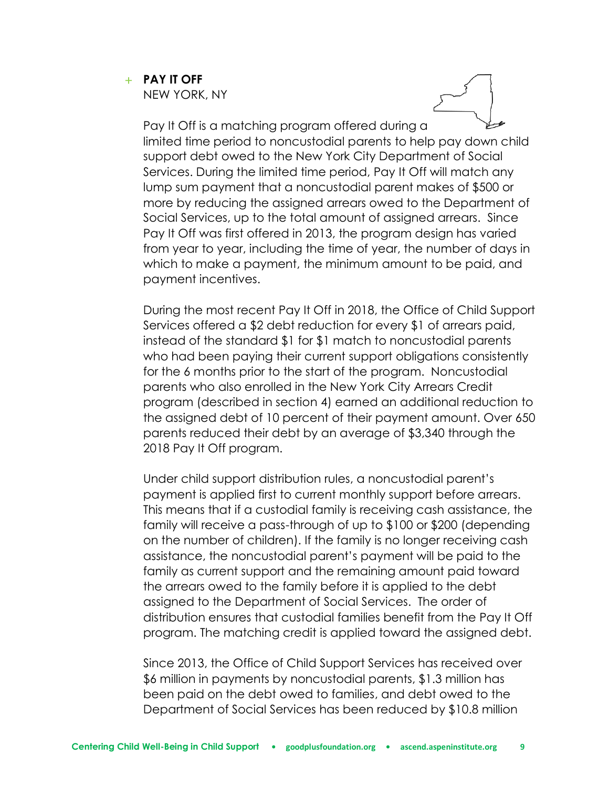## + **PAY IT OFF**

NEW YORK, NY

Pay It Off is a matching program offered during a limited time period to noncustodial parents to help pay down child support debt owed to the New York City Department of Social Services. During the limited time period, Pay It Off will match any lump sum payment that a noncustodial parent makes of \$500 or more by reducing the assigned arrears owed to the Department of Social Services, up to the total amount of assigned arrears. Since Pay It Off was first offered in 2013, the program design has varied from year to year, including the time of year, the number of days in which to make a payment, the minimum amount to be paid, and payment incentives.

During the most recent Pay It Off in 2018, the Office of Child Support Services offered a \$2 debt reduction for every \$1 of arrears paid, instead of the standard \$1 for \$1 match to noncustodial parents who had been paying their current support obligations consistently for the 6 months prior to the start of the program. Noncustodial parents who also enrolled in the New York City Arrears Credit program (described in section 4) earned an additional reduction to the assigned debt of 10 percent of their payment amount. Over 650 parents reduced their debt by an average of \$3,340 through the 2018 Pay It Off program.

Under child support distribution rules, a noncustodial parent's payment is applied first to current monthly support before arrears. This means that if a custodial family is receiving cash assistance, the family will receive a pass-through of up to \$100 or \$200 (depending on the number of children). If the family is no longer receiving cash assistance, the noncustodial parent's payment will be paid to the family as current support and the remaining amount paid toward the arrears owed to the family before it is applied to the debt assigned to the Department of Social Services. The order of distribution ensures that custodial families benefit from the Pay It Off program. The matching credit is applied toward the assigned debt.

Since 2013, the Office of Child Support Services has received over \$6 million in payments by noncustodial parents, \$1.3 million has been paid on the debt owed to families, and debt owed to the Department of Social Services has been reduced by \$10.8 million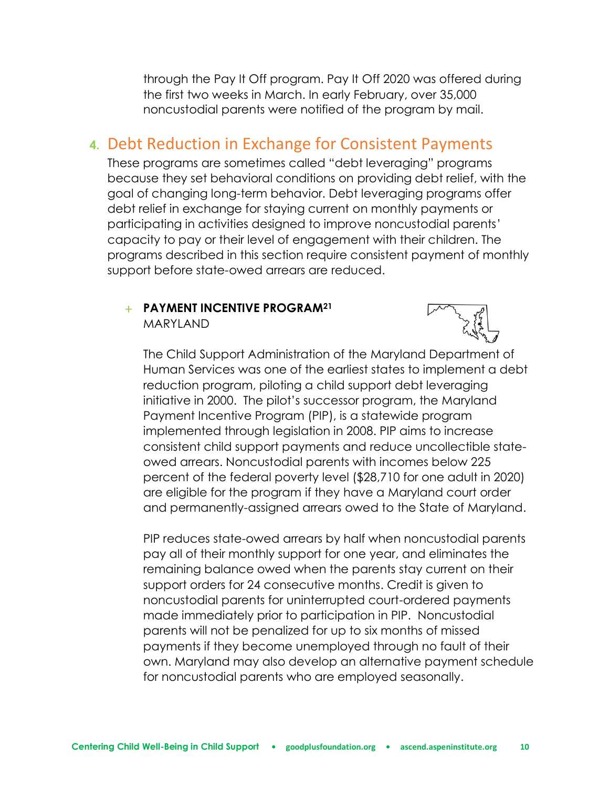through the Pay It Off program. Pay It Off 2020 was offered during the first two weeks in March. In early February, over 35,000 noncustodial parents were notified of the program by mail.

## **4.** Debt Reduction in Exchange for Consistent Payments

These programs are sometimes called "debt leveraging" programs because they set behavioral conditions on providing debt relief, with the goal of changing long-term behavior. Debt leveraging programs offer debt relief in exchange for staying current on monthly payments or participating in activities designed to improve noncustodial parents' capacity to pay or their level of engagement with their children. The programs described in this section require consistent payment of monthly support before state-owed arrears are reduced.

#### + **PAYMENT INCENTIVE PROGRAM<sup>21</sup>** MARYLAND



The Child Support Administration of the Maryland Department of Human Services was one of the earliest states to implement a debt reduction program, piloting a child support debt leveraging initiative in 2000. The pilot's successor program, the Maryland Payment Incentive Program (PIP), is a statewide program implemented through legislation in 2008. PIP aims to increase consistent child support payments and reduce uncollectible stateowed arrears. Noncustodial parents with incomes below 225 percent of the federal poverty level (\$28,710 for one adult in 2020) are eligible for the program if they have a Maryland court order and permanently-assigned arrears owed to the State of Maryland.

PIP reduces state-owed arrears by half when noncustodial parents pay all of their monthly support for one year, and eliminates the remaining balance owed when the parents stay current on their support orders for 24 consecutive months. Credit is given to noncustodial parents for uninterrupted court-ordered payments made immediately prior to participation in PIP. Noncustodial parents will not be penalized for up to six months of missed payments if they become unemployed through no fault of their own. Maryland may also develop an alternative payment schedule for noncustodial parents who are employed seasonally.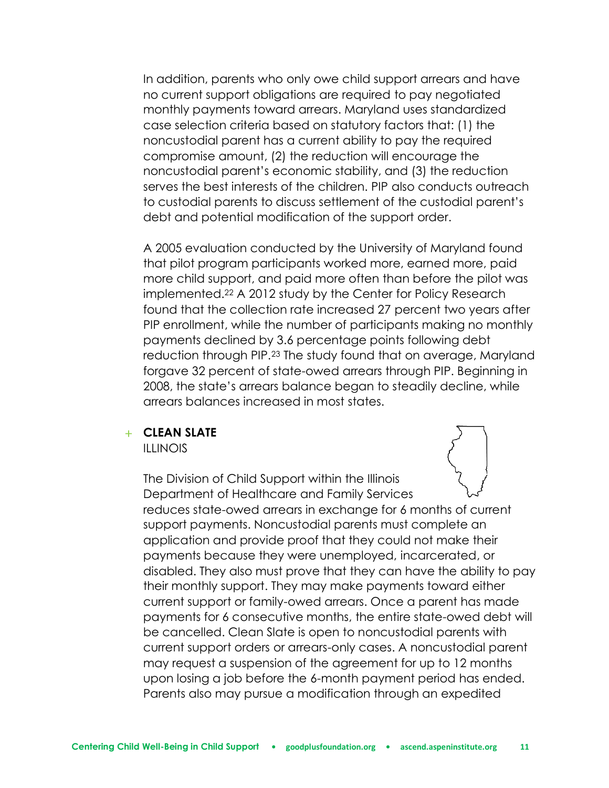In addition, parents who only owe child support arrears and have no current support obligations are required to pay negotiated monthly payments toward arrears. Maryland uses standardized case selection criteria based on statutory factors that: (1) the noncustodial parent has a current ability to pay the required compromise amount, (2) the reduction will encourage the noncustodial parent's economic stability, and (3) the reduction serves the best interests of the children. PIP also conducts outreach to custodial parents to discuss settlement of the custodial parent's debt and potential modification of the support order.

A 2005 evaluation conducted by the University of Maryland found that pilot program participants worked more, earned more, paid more child support, and paid more often than before the pilot was implemented.<sup>22</sup> A 2012 study by the Center for Policy Research found that the collection rate increased 27 percent two years after PIP enrollment, while the number of participants making no monthly payments declined by 3.6 percentage points following debt reduction through PIP.<sup>23</sup> The study found that on average, Maryland forgave 32 percent of state-owed arrears through PIP. Beginning in 2008, the state's arrears balance began to steadily decline, while arrears balances increased in most states.

#### + **CLEAN SLATE**

ILLINOIS

The Division of Child Support within the Illinois Department of Healthcare and Family Services reduces state-owed arrears in exchange for 6 months of current support payments. Noncustodial parents must complete an application and provide proof that they could not make their payments because they were unemployed, incarcerated, or disabled. They also must prove that they can have the ability to pay their monthly support. They may make payments toward either current support or family-owed arrears. Once a parent has made payments for 6 consecutive months, the entire state-owed debt will be cancelled. Clean Slate is open to noncustodial parents with current support orders or arrears-only cases. A noncustodial parent may request a suspension of the agreement for up to 12 months upon losing a job before the 6-month payment period has ended. Parents also may pursue a modification through an expedited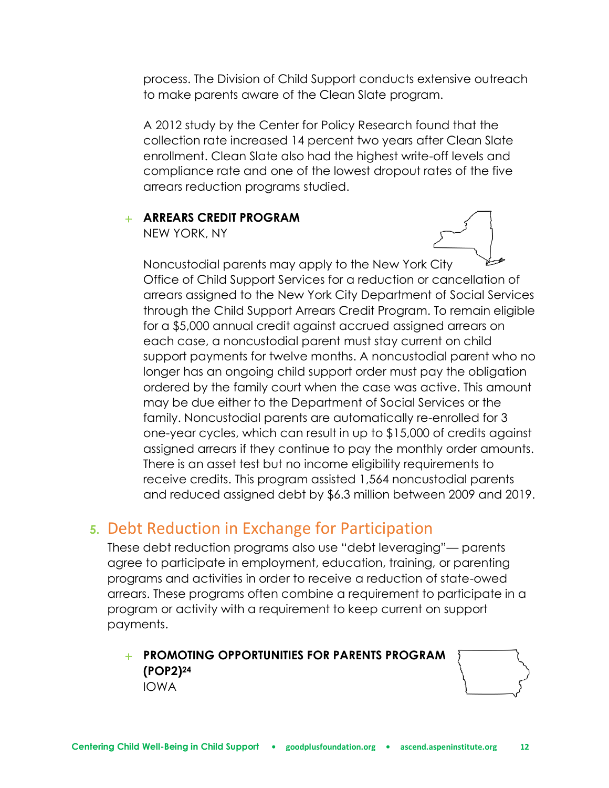process. The Division of Child Support conducts extensive outreach to make parents aware of the Clean Slate program.

A 2012 study by the Center for Policy Research found that the collection rate increased 14 percent two years after Clean Slate enrollment. Clean Slate also had the highest write-off levels and compliance rate and one of the lowest dropout rates of the five arrears reduction programs studied.

#### + **ARREARS CREDIT PROGRAM**

NEW YORK, NY



Noncustodial parents may apply to the New York City Office of Child Support Services for a reduction or cancellation of arrears assigned to the New York City Department of Social Services through the Child Support Arrears Credit Program. To remain eligible for a \$5,000 annual credit against accrued assigned arrears on each case, a noncustodial parent must stay current on child support payments for twelve months. A noncustodial parent who no longer has an ongoing child support order must pay the obligation ordered by the family court when the case was active. This amount may be due either to the Department of Social Services or the family. Noncustodial parents are automatically re-enrolled for 3 one-year cycles, which can result in up to \$15,000 of credits against assigned arrears if they continue to pay the monthly order amounts. There is an asset test but no income eligibility requirements to receive credits. This program assisted 1,564 noncustodial parents and reduced assigned debt by \$6.3 million between 2009 and 2019.

## **5.** Debt Reduction in Exchange for Participation

These debt reduction programs also use "debt leveraging"— parents agree to participate in employment, education, training, or parenting programs and activities in order to receive a reduction of state-owed arrears. These programs often combine a requirement to participate in a program or activity with a requirement to keep current on support payments.

+ **PROMOTING OPPORTUNITIES FOR PARENTS PROGRAM (POP2)<sup>24</sup>** IOWA

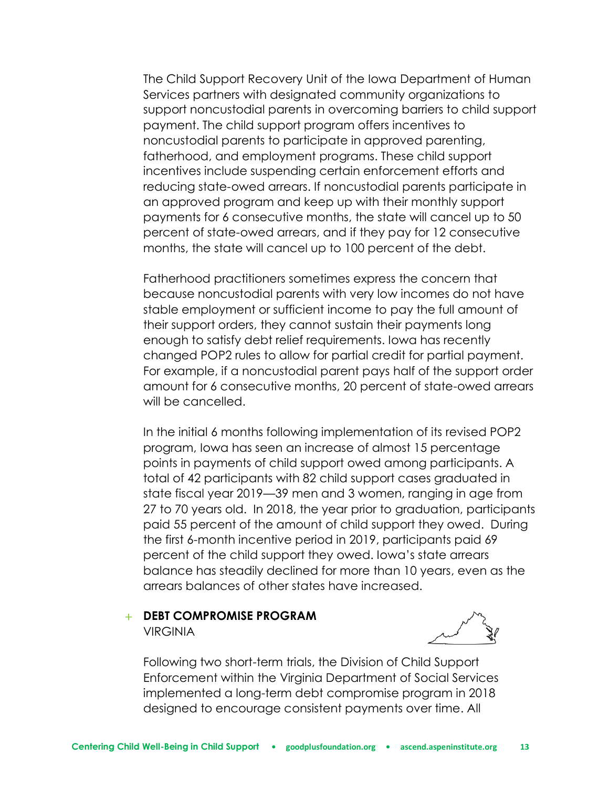The Child Support Recovery Unit of the Iowa Department of Human Services partners with designated community organizations to support noncustodial parents in overcoming barriers to child support payment. The child support program offers incentives to noncustodial parents to participate in approved parenting, fatherhood, and employment programs. These child support incentives include suspending certain enforcement efforts and reducing state-owed arrears. If noncustodial parents participate in an approved program and keep up with their monthly support payments for 6 consecutive months, the state will cancel up to 50 percent of state-owed arrears, and if they pay for 12 consecutive months, the state will cancel up to 100 percent of the debt.

Fatherhood practitioners sometimes express the concern that because noncustodial parents with very low incomes do not have stable employment or sufficient income to pay the full amount of their support orders, they cannot sustain their payments long enough to satisfy debt relief requirements. Iowa has recently changed POP2 rules to allow for partial credit for partial payment. For example, if a noncustodial parent pays half of the support order amount for 6 consecutive months, 20 percent of state-owed arrears will be cancelled.

In the initial 6 months following implementation of its revised POP2 program, Iowa has seen an increase of almost 15 percentage points in payments of child support owed among participants. A total of 42 participants with 82 child support cases graduated in state fiscal year 2019—39 men and 3 women, ranging in age from 27 to 70 years old. In 2018, the year prior to graduation, participants paid 55 percent of the amount of child support they owed. During the first 6-month incentive period in 2019, participants paid 69 percent of the child support they owed. Iowa's state arrears balance has steadily declined for more than 10 years, even as the arrears balances of other states have increased.

#### + **DEBT COMPROMISE PROGRAM VIRGINIA**



Following two short-term trials, the Division of Child Support Enforcement within the Virginia Department of Social Services implemented a long-term debt compromise program in 2018 designed to encourage consistent payments over time. All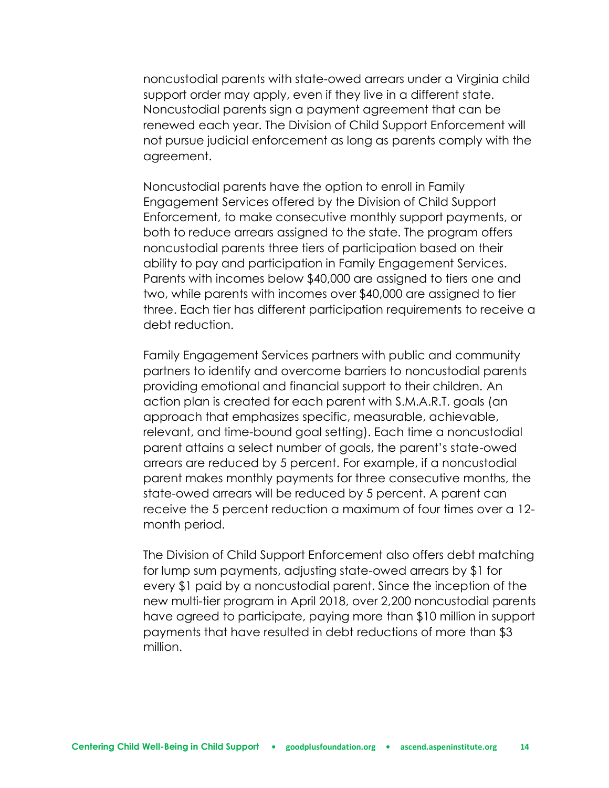noncustodial parents with state-owed arrears under a Virginia child support order may apply, even if they live in a different state. Noncustodial parents sign a payment agreement that can be renewed each year. The Division of Child Support Enforcement will not pursue judicial enforcement as long as parents comply with the agreement.

Noncustodial parents have the option to enroll in Family Engagement Services offered by the Division of Child Support Enforcement, to make consecutive monthly support payments, or both to reduce arrears assigned to the state. The program offers noncustodial parents three tiers of participation based on their ability to pay and participation in Family Engagement Services. Parents with incomes below \$40,000 are assigned to tiers one and two, while parents with incomes over \$40,000 are assigned to tier three. Each tier has different participation requirements to receive a debt reduction.

Family Engagement Services partners with public and community partners to identify and overcome barriers to noncustodial parents providing emotional and financial support to their children. An action plan is created for each parent with S.M.A.R.T. goals (an approach that emphasizes specific, measurable, achievable, relevant, and time-bound goal setting). Each time a noncustodial parent attains a select number of goals, the parent's state-owed arrears are reduced by 5 percent. For example, if a noncustodial parent makes monthly payments for three consecutive months, the state-owed arrears will be reduced by 5 percent. A parent can receive the 5 percent reduction a maximum of four times over a 12 month period.

The Division of Child Support Enforcement also offers debt matching for lump sum payments, adjusting state-owed arrears by \$1 for every \$1 paid by a noncustodial parent. Since the inception of the new multi-tier program in April 2018, over 2,200 noncustodial parents have agreed to participate, paying more than \$10 million in support payments that have resulted in debt reductions of more than \$3 million.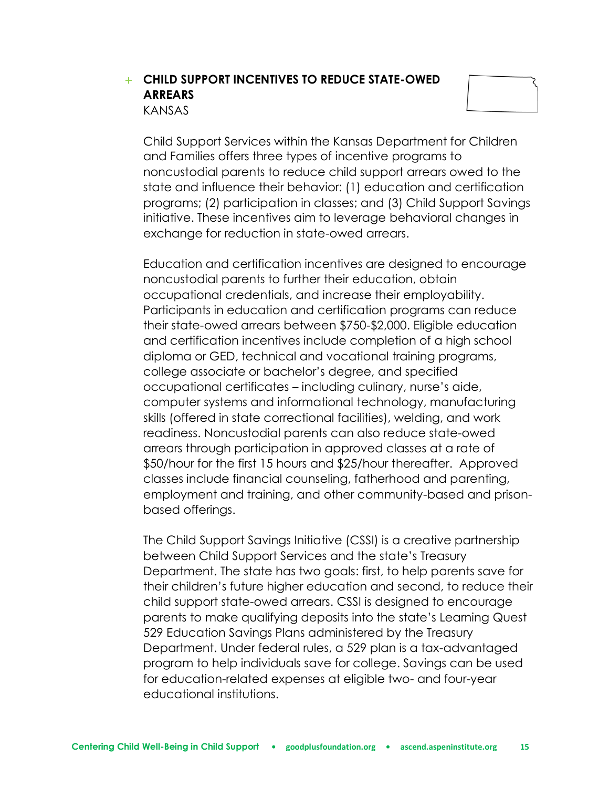### + **CHILD SUPPORT INCENTIVES TO REDUCE STATE-OWED ARREARS** KANSAS



Child Support Services within the Kansas Department for Children and Families offers three types of incentive programs to noncustodial parents to reduce child support arrears owed to the state and influence their behavior: (1) education and certification programs; (2) participation in classes; and (3) Child Support Savings initiative. These incentives aim to leverage behavioral changes in exchange for reduction in state-owed arrears.

Education and certification incentives are designed to encourage noncustodial parents to further their education, obtain occupational credentials, and increase their employability. Participants in education and certification programs can reduce their state-owed arrears between \$750-\$2,000. Eligible education and certification incentives include completion of a high school diploma or GED, technical and vocational training programs, college associate or bachelor's degree, and specified occupational certificates – including culinary, nurse's aide, computer systems and informational technology, manufacturing skills (offered in state correctional facilities), welding, and work readiness. Noncustodial parents can also reduce state-owed arrears through participation in approved classes at a rate of \$50/hour for the first 15 hours and \$25/hour thereafter. Approved classes include financial counseling, fatherhood and parenting, employment and training, and other community-based and prisonbased offerings.

The Child Support Savings Initiative (CSSI) is a creative partnership between Child Support Services and the state's Treasury Department. The state has two goals: first, to help parents save for their children's future higher education and second, to reduce their child support state-owed arrears. CSSI is designed to encourage parents to make qualifying deposits into the state's Learning Quest 529 Education Savings Plans administered by the Treasury Department. Under federal rules, a 529 plan is a tax-advantaged program to help individuals save for college. Savings can be used for education-related expenses at eligible two- and four-year educational institutions.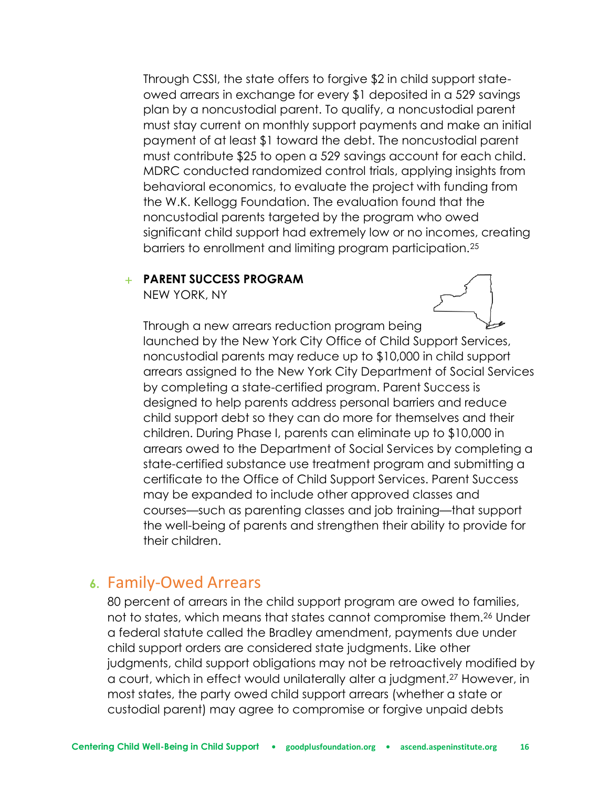Through CSSI, the state offers to forgive \$2 in child support stateowed arrears in exchange for every \$1 deposited in a 529 savings plan by a noncustodial parent. To qualify, a noncustodial parent must stay current on monthly support payments and make an initial payment of at least \$1 toward the debt. The noncustodial parent must contribute \$25 to open a 529 savings account for each child. MDRC conducted randomized control trials, applying insights from behavioral economics, to evaluate the project with funding from the W.K. Kellogg Foundation. The evaluation found that the noncustodial parents targeted by the program who owed significant child support had extremely low or no incomes, creating barriers to enrollment and limiting program participation.<sup>25</sup>

#### + **PARENT SUCCESS PROGRAM**

NEW YORK, NY



Through a new arrears reduction program being launched by the New York City Office of Child Support Services, noncustodial parents may reduce up to \$10,000 in child support arrears assigned to the New York City Department of Social Services by completing a state-certified program. Parent Success is designed to help parents address personal barriers and reduce child support debt so they can do more for themselves and their children. During Phase I, parents can eliminate up to \$10,000 in arrears owed to the Department of Social Services by completing a state-certified substance use treatment program and submitting a certificate to the Office of Child Support Services. Parent Success may be expanded to include other approved classes and courses—such as parenting classes and job training—that support the well-being of parents and strengthen their ability to provide for their children.

## **6.** Family-Owed Arrears

80 percent of arrears in the child support program are owed to families, not to states, which means that states cannot compromise them.<sup>26</sup> Under a federal statute called the Bradley amendment, payments due under child support orders are considered state judgments. Like other judgments, child support obligations may not be retroactively modified by a court, which in effect would unilaterally alter a judgment.<sup>27</sup> However, in most states, the party owed child support arrears (whether a state or custodial parent) may agree to compromise or forgive unpaid debts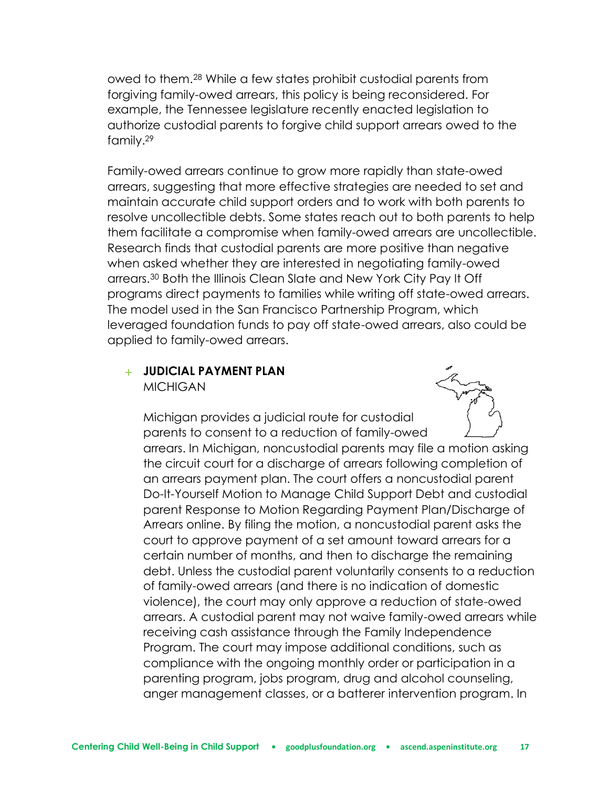owed to them.<sup>28</sup> While a few states prohibit custodial parents from forgiving family-owed arrears, this policy is being reconsidered. For example, the Tennessee legislature recently enacted legislation to authorize custodial parents to forgive child support arrears owed to the family.<sup>29</sup>

Family-owed arrears continue to grow more rapidly than state-owed arrears, suggesting that more effective strategies are needed to set and maintain accurate child support orders and to work with both parents to resolve uncollectible debts. Some states reach out to both parents to help them facilitate a compromise when family-owed arrears are uncollectible. Research finds that custodial parents are more positive than negative when asked whether they are interested in negotiating family-owed arrears.<sup>30</sup> Both the Illinois Clean Slate and New York City Pay It Off programs direct payments to families while writing off state-owed arrears. The model used in the San Francisco Partnership Program, which leveraged foundation funds to pay off state-owed arrears, also could be applied to family-owed arrears.

#### + **JUDICIAL PAYMENT PLAN MICHIGAN**



Michigan provides a judicial route for custodial parents to consent to a reduction of family-owed arrears. In Michigan, noncustodial parents may file a motion asking the circuit court for a discharge of arrears following completion of an arrears payment plan. The court offers a noncustodial parent Do-It-Yourself Motion to Manage Child Support Debt and custodial parent Response to Motion Regarding Payment Plan/Discharge of Arrears online. By filing the motion, a noncustodial parent asks the court to approve payment of a set amount toward arrears for a certain number of months, and then to discharge the remaining debt. Unless the custodial parent voluntarily consents to a reduction of family-owed arrears (and there is no indication of domestic violence), the court may only approve a reduction of state-owed arrears. A custodial parent may not waive family-owed arrears while receiving cash assistance through the Family Independence Program. The court may impose additional conditions, such as compliance with the ongoing monthly order or participation in a parenting program, jobs program, drug and alcohol counseling, anger management classes, or a batterer intervention program. In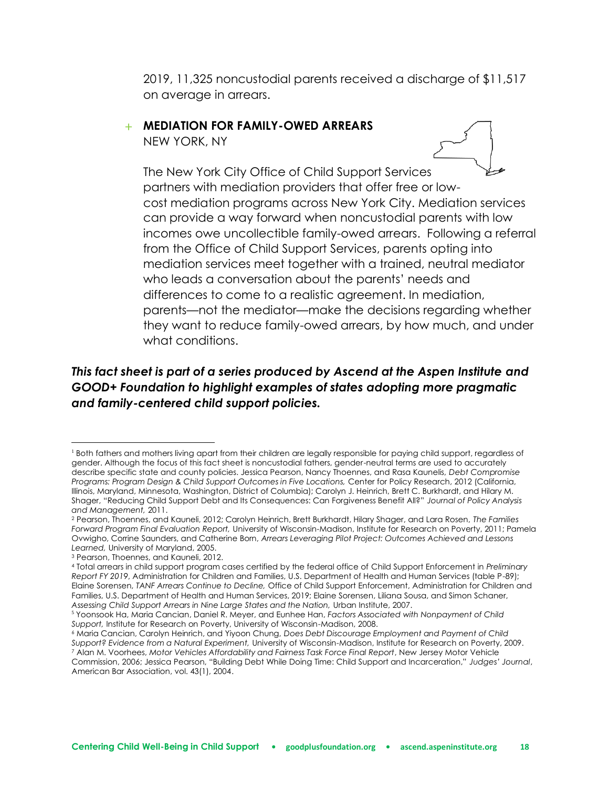2019, 11,325 noncustodial parents received a discharge of \$11,517 on average in arrears.

## + **MEDIATION FOR FAMILY-OWED ARREARS**

NEW YORK, NY



The New York City Office of Child Support Services partners with mediation providers that offer free or lowcost mediation programs across New York City. Mediation services can provide a way forward when noncustodial parents with low incomes owe uncollectible family-owed arrears. Following a referral from the Office of Child Support Services, parents opting into mediation services meet together with a trained, neutral mediator who leads a conversation about the parents' needs and differences to come to a realistic agreement. In mediation, parents—not the mediator—make the decisions regarding whether they want to reduce family-owed arrears, by how much, and under what conditions.

## *This fact sheet is part of a series produced by Ascend at the Aspen Institute and GOOD+ Foundation to highlight examples of states adopting more pragmatic and family-centered child support policies.*

<sup>&</sup>lt;sup>1</sup> Both fathers and mothers living apart from their children are legally responsible for paying child support, regardless of gender. Although the focus of this fact sheet is noncustodial fathers, gender-neutral terms are used to accurately describe specific state and county policies. Jessica Pearson, Nancy Thoennes, and Rasa Kaunelis, *Debt Compromise Programs: Program Design & Child Support Outcomes in Five Locations,* Center for Policy Research, 2012 (California, Illinois, Maryland, Minnesota, Washington, District of Columbia); Carolyn J. Heinrich, Brett C. Burkhardt, and Hilary M. Shager, "Reducing Child Support Debt and Its Consequences: Can Forgiveness Benefit All?" *Journal of Policy Analysis and Management,* 2011.

<sup>2</sup> Pearson, Thoennes, and Kauneli, 2012; Carolyn Heinrich, Brett Burkhardt, Hilary Shager, and Lara Rosen, *The Families Forward Program Final Evaluation Report,* University of Wisconsin-Madison, Institute for Research on Poverty, 2011; Pamela Ovwigho, Corrine Saunders, and Catherine Born, *Arrears Leveraging Pilot Project: Outcomes Achieved and Lessons Learned,* University of Maryland, 2005.

<sup>3</sup> Pearson, Thoennes, and Kauneli, 2012.

<sup>4</sup> Total arrears in child support program cases certified by the federal office of Child Support Enforcement in *Preliminary Report FY 2019*, Administration for Children and Families, U.S. Department of Health and Human Services (table P-89); Elaine Sorensen, *TANF Arrears Continue to Decline,* Office of Child Support Enforcement, Administration for Children and Families, U.S. Department of Health and Human Services, 2019; Elaine Sorensen, Liliana Sousa, and Simon Schaner, *Assessing Child Support Arrears in Nine Large States and the Nation,* Urban Institute, 2007.

<sup>5</sup> Yoonsook Ha, Maria Cancian, Daniel R. Meyer, and Eunhee Han, *Factors Associated with Nonpayment of Child Support,* Institute for Research on Poverty, University of Wisconsin-Madison, 2008.

<sup>6</sup> Maria Cancian, Carolyn Heinrich, and Yiyoon Chung, *Does Debt Discourage Employment and Payment of Child Support? Evidence from a Natural Experiment,* University of Wisconsin-Madison, Institute for Research on Poverty, 2009. <sup>7</sup> Alan M. Voorhees, *Motor Vehicles Affordability and Fairness Task Force Final Report*, New Jersey Motor Vehicle Commission, 2006; Jessica Pearson, "Building Debt While Doing Time: Child Support and Incarceration," *Judges' Journal*, American Bar Association, vol. 43(1), 2004.